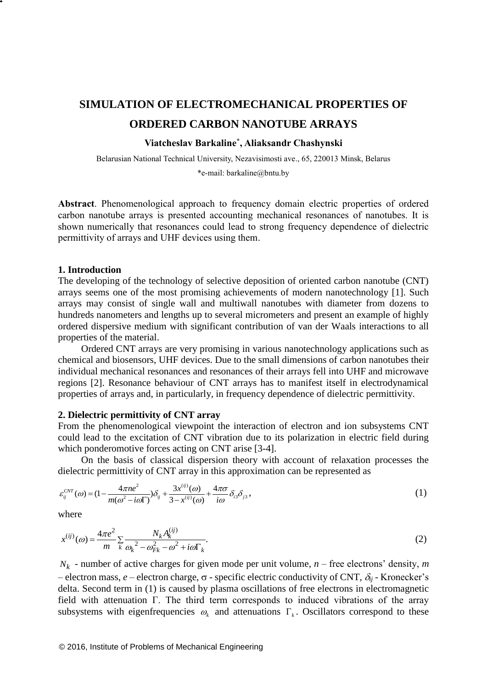# **SIMULATION OF ELECTROMECHANICAL PROPERTIES OF ORDERED CARBON NANOTUBE ARRAYS**

## **Viatcheslav Barkaline\* , Aliaksandr Chashynski**

Belarusian National Technical University, Nezavisimosti ave., 65, 220013 Minsk, Belarus \*e-mail: [barkaline@bntu.by](mailto:barkaline@bntu.by)

**Abstract**. Phenomenological approach to frequency domain electric properties of ordered carbon nanotube arrays is presented accounting mechanical resonances of nanotubes. It is shown numerically that resonances could lead to strong frequency dependence of dielectric permittivity of arrays and UHF devices using them.

#### **1. Introduction**

The developing of the technology of selective deposition of oriented carbon nanotube (CNT) arrays seems one of the most promising achievements of modern nanotechnology [1]. Such arrays may consist of single wall and multiwall nanotubes with diameter from dozens to hundreds nanometers and lengths up to several micrometers and present an example of highly ordered dispersive medium with significant contribution of van der Waals interactions to all properties of the material.

Ordered CNT arrays are very promising in various nanotechnology applications such as chemical and biosensors, UHF devices. Due to the small dimensions of carbon nanotubes their individual mechanical resonances and resonances of their arrays fell into UHF and microwave regions [2]. Resonance behaviour of CNT arrays has to manifest itself in electrodynamical properties of arrays and, in particularly, in frequency dependence of dielectric permittivity.

#### **2. Dielectric permittivity of CNT array**

From the phenomenological viewpoint the interaction of electron and ion subsystems CNT could lead to the excitation of CNT vibration due to its polarization in electric field during which ponderomotive forces acting on CNT arise [3-4].

On the basis of classical dispersion theory with account of relaxation processes the

dielectric permittivity of CNT array in this approximation can be represented as  
\n
$$
\varepsilon_{ij}^{CNT}(\omega) = (1 - \frac{4\pi n e^2}{m(\omega^2 - i\omega\Gamma)})\delta_{ij} + \frac{3x^{(ij)}(\omega)}{3 - x^{(ij)}(\omega)} + \frac{4\pi\sigma}{i\omega}\delta_{i3}\delta_{j3},
$$
\n(1)

where

$$
x^{(ij)}(\omega) = \frac{4\pi e^2}{m} \sum_{k} \frac{N_k A_k^{(ij)}}{\omega_k^2 - \omega_{Fk}^2 - \omega^2 + i\omega \Gamma_k}.
$$
 (2)

 $N_k$  - number of active charges for given mode per unit volume,  $n$  – free electrons' density, *m* – electron mass,  $e$  – electron charge,  $\sigma$  - specific electric conductivity of CNT,  $\delta_{ij}$  - Kronecker's delta. Second term in (1) is caused by plasma oscillations of free electrons in electromagnetic field with attenuation Γ. The third term corresponds to induced vibrations of the array subsystems with eigenfrequencies  $\omega_k$  and attenuations  $\Gamma_k$ . Oscillators correspond to these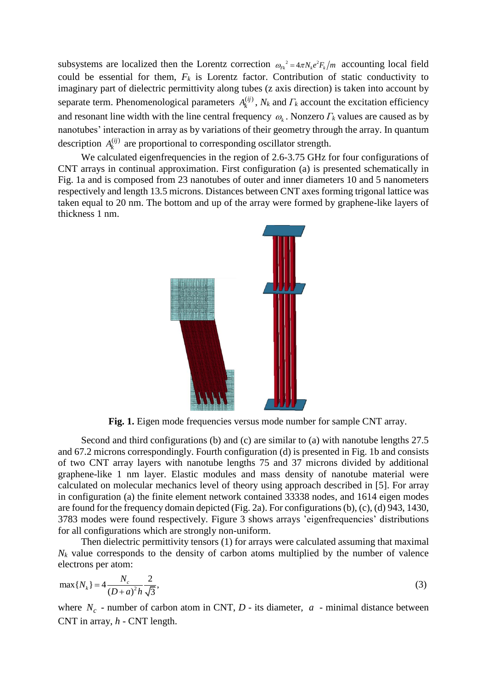subsystems are localized then the Lorentz correction  $\omega_{F_k}^2 = 4\pi N_k e^2 F_k/m$  accounting local field could be essential for them,  $F_k$  is Lorentz factor. Contribution of static conductivity to imaginary part of dielectric permittivity along tubes (z axis direction) is taken into account by separate term. Phenomenological parameters  $A_k^{(ij)}$ ,  $N_k$  and  $\Gamma_k$  account the excitation efficiency and resonant line width with the line central frequency  $\omega_k$ . Nonzero  $\Gamma_k$  values are caused as by nanotubes' interaction in array as by variations of their geometry through the array. In quantum description  $A_k^{(ij)}$  are proportional to corresponding oscillator strength.

We calculated eigenfrequencies in the region of 2.6-3.75 GHz for four configurations of CNT arrays in continual approximation. First configuration (a) is presented schematically in Fig. 1a and is composed from 23 nanotubes of outer and inner diameters 10 and 5 nanometers respectively and length 13.5 microns. Distances between CNT axes forming trigonal lattice was taken equal to 20 nm. The bottom and up of the array were formed by graphene-like layers of thickness 1 nm.



**Fig. 1.** Eigen mode frequencies versus mode number for sample CNT array.

Second and third configurations (b) and (c) are similar to (a) with nanotube lengths 27.5 and 67.2 microns correspondingly. Fourth configuration (d) is presented in Fig. 1b and consists of two CNT array layers with nanotube lengths 75 and 37 microns divided by additional graphene-like 1 nm layer. Elastic modules and mass density of nanotube material were calculated on molecular mechanics level of theory using approach described in [5]. For array in configuration (a) the finite element network contained 33338 nodes, and 1614 eigen modes are found for the frequency domain depicted (Fig. 2a). For configurations (b), (c), (d) 943, 1430, 3783 modes were found respectively. Figure 3 shows arrays 'eigenfrequencies' distributions for all configurations which are strongly non-uniform.

Then dielectric permittivity tensors (1) for arrays were calculated assuming that maximal  $N_k$  value corresponds to the density of carbon atoms multiplied by the number of valence electrons per atom:

$$
\max\{N_k\} = 4\frac{N_c}{(D+a)^2h}\frac{2}{\sqrt{3}},
$$
\n(3)

where  $N_c$  - number of carbon atom in CNT,  $D$  - its diameter,  $a$  - minimal distance between CNT in array, *h* - CNT length.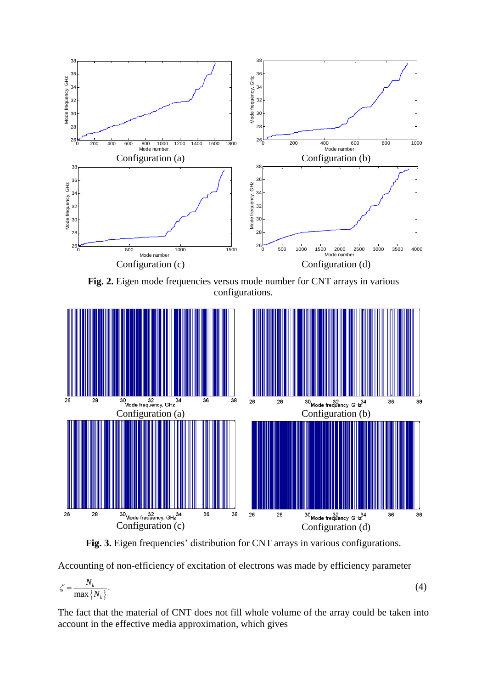

**Fig. 2.** Eigen mode frequencies versus mode number for CNT arrays in various configurations.



**Fig. 3.** Eigen frequencies' distribution for CNT arrays in various configurations.

Accounting of non-efficiency of excitation of electrons was made by efficiency parameter

$$
\zeta = \frac{N_k}{\max\{N_k\}}.\tag{4}
$$

The fact that the material of CNT does not fill whole volume of the array could be taken into account in the effective media approximation, which gives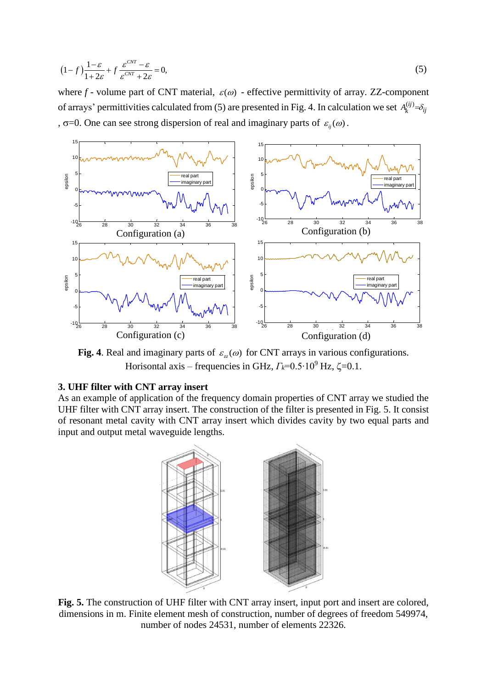$$
(1-f)\frac{1-\varepsilon}{1+2\varepsilon} + f\frac{\varepsilon^{CNT} - \varepsilon}{\varepsilon^{CNT} + 2\varepsilon} = 0,
$$
\n(5)

where  $f$  - volume part of CNT material,  $\varepsilon(\omega)$  - effective permittivity of array. ZZ-component of arrays' permittivities calculated from (5) are presented in Fig. 4. In calculation we set  $A_k^{(ij)} = \delta_{ij}$ ,  $\sigma$ =0. One can see strong dispersion of real and imaginary parts of  $\varepsilon_{ij}(\omega)$ .



**Fig. 4**. Real and imaginary parts of  $\varepsilon_x(\omega)$  for CNT arrays in various configurations. Horisontal axis – frequencies in GHz,  $\Gamma_k$ =0.5⋅10<sup>9</sup> Hz,  $\zeta$ =0.1.

## **3. UHF filter with CNT array insert**

As an example of application of the frequency domain properties of CNT array we studied the UHF filter with CNT array insert. The construction of the filter is presented in Fig. 5. It consist of resonant metal cavity with CNT array insert which divides cavity by two equal parts and input and output metal waveguide lengths.



**Fig. 5.** The construction of UHF filter with CNT array insert, input port and insert are colored, dimensions in m. Finite element mesh of construction, number of degrees of freedom 549974, number of nodes 24531, number of elements 22326.